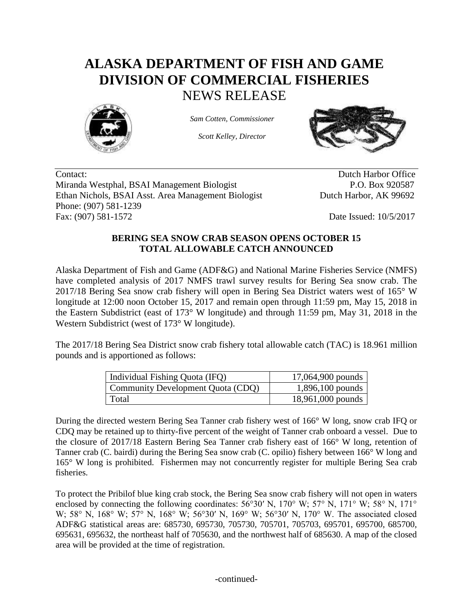## **ALASKA DEPARTMENT OF FISH AND GAME DIVISION OF COMMERCIAL FISHERIES** NEWS RELEASE



*Sam Cotten, Commissioner*

*Scott Kelley, Director*



Contact: Dutch Harbor Office Miranda Westphal, BSAI Management Biologist P.O. Box 920587 Ethan Nichols, BSAI Asst. Area Management Biologist Dutch Harbor, AK 99692 Phone: (907) 581-1239 Fax: (907) 581-1572 Date Issued: 10/5/2017

## **BERING SEA SNOW CRAB SEASON OPENS OCTOBER 15 TOTAL ALLOWABLE CATCH ANNOUNCED**

Alaska Department of Fish and Game (ADF&G) and National Marine Fisheries Service (NMFS) have completed analysis of 2017 NMFS trawl survey results for Bering Sea snow crab. The 2017/18 Bering Sea snow crab fishery will open in Bering Sea District waters west of 165° W longitude at 12:00 noon October 15, 2017 and remain open through 11:59 pm, May 15, 2018 in the Eastern Subdistrict (east of 173° W longitude) and through 11:59 pm, May 31, 2018 in the Western Subdistrict (west of 173° W longitude).

The 2017/18 Bering Sea District snow crab fishery total allowable catch (TAC) is 18.961 million pounds and is apportioned as follows:

| Individual Fishing Quota (IFQ)    | 17,064,900 pounds  |
|-----------------------------------|--------------------|
| Community Development Quota (CDQ) | $1,896,100$ pounds |
| Total                             | 18,961,000 pounds  |

During the directed western Bering Sea Tanner crab fishery west of 166° W long, snow crab IFQ or CDQ may be retained up to thirty-five percent of the weight of Tanner crab onboard a vessel. Due to the closure of 2017/18 Eastern Bering Sea Tanner crab fishery east of 166° W long, retention of Tanner crab (C. bairdi) during the Bering Sea snow crab (C. opilio) fishery between 166° W long and 165° W long is prohibited. Fishermen may not concurrently register for multiple Bering Sea crab fisheries.

To protect the Pribilof blue king crab stock, the Bering Sea snow crab fishery will not open in waters enclosed by connecting the following coordinates:  $56^{\circ}30'$  N,  $170^{\circ}$  W;  $57^{\circ}$  N,  $171^{\circ}$  W;  $58^{\circ}$  N,  $171^{\circ}$ W; 58° N, 168° W; 57° N, 168° W; 56°30′ N, 169° W; 56°30′ N, 170° W. The associated closed ADF&G statistical areas are: 685730, 695730, 705730, 705701, 705703, 695701, 695700, 685700, 695631, 695632, the northeast half of 705630, and the northwest half of 685630. A map of the closed area will be provided at the time of registration.